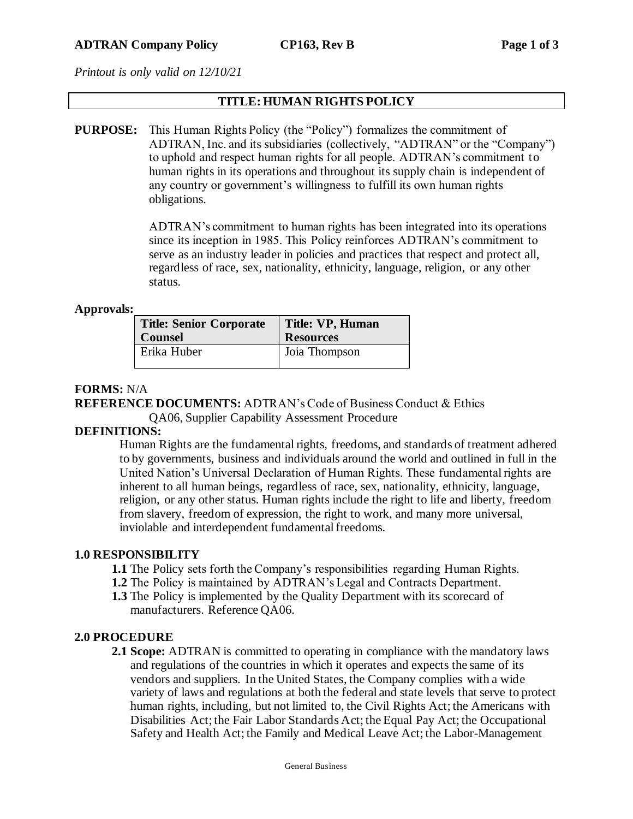*Printout is only valid on 12/10/21*

## **TITLE: HUMAN RIGHTS POLICY**

**PURPOSE:** This Human Rights Policy (the "Policy") formalizes the commitment of ADTRAN, Inc. and its subsidiaries (collectively, "ADTRAN" or the "Company") to uphold and respect human rights for all people. ADTRAN's commitment to human rights in its operations and throughout its supply chain is independent of any country or government's willingness to fulfill its own human rights obligations.

> ADTRAN's commitment to human rights has been integrated into its operations since its inception in 1985. This Policy reinforces ADTRAN's commitment to serve as an industry leader in policies and practices that respect and protect all, regardless of race, sex, nationality, ethnicity, language, religion, or any other status.

#### **Approvals:**

| <b>Title: Senior Corporate</b> | Title: VP, Human |
|--------------------------------|------------------|
| <b>Counsel</b>                 | <b>Resources</b> |
| Erika Huber                    | Joia Thompson    |

## **FORMS:** N/A

# **REFERENCE DOCUMENTS:** ADTRAN's Code of Business Conduct & Ethics

QA06, Supplier Capability Assessment Procedure

## **DEFINITIONS:**

Human Rights are the fundamental rights, freedoms, and standards of treatment adhered to by governments, business and individuals around the world and outlined in full in the United Nation's Universal Declaration of Human Rights. These fundamental rights are inherent to all human beings, regardless of race, sex, nationality, ethnicity, language, religion, or any other status. Human rights include the right to life and liberty, freedom from slavery, freedom of expression, the right to work, and many more universal, inviolable and interdependent fundamental freedoms.

#### **1.0 RESPONSIBILITY**

- **1.1** The Policy sets forth the Company's responsibilities regarding Human Rights.
- **1.2** The Policy is maintained by ADTRAN's Legal and Contracts Department.
- **1.3** The Policy is implemented by the Quality Department with its scorecard of manufacturers. Reference QA06.

#### **2.0 PROCEDURE**

**2.1 Scope:** ADTRAN is committed to operating in compliance with the mandatory laws and regulations of the countries in which it operates and expects the same of its vendors and suppliers. In the United States, the Company complies with a wide variety of laws and regulations at both the federal and state levels that serve to protect human rights, including, but not limited to, the Civil Rights Act; the Americans with Disabilities Act; the Fair Labor Standards Act; the Equal Pay Act; the Occupational Safety and Health Act; the Family and Medical Leave Act; the Labor-Management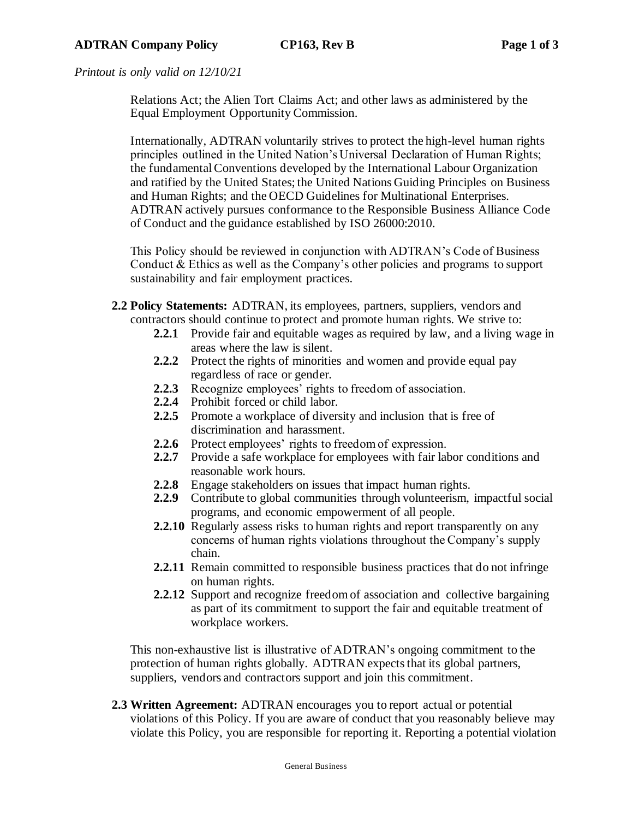*Printout is only valid on 12/10/21*

Relations Act; the Alien Tort Claims Act; and other laws as administered by the Equal Employment Opportunity Commission.

Internationally, ADTRAN voluntarily strives to protect the high-level human rights principles outlined in the United Nation's Universal Declaration of Human Rights; the fundamental Conventions developed by the International Labour Organization and ratified by the United States; the United Nations Guiding Principles on Business and Human Rights; and the OECD Guidelines for Multinational Enterprises. ADTRAN actively pursues conformance to the Responsible Business Alliance Code of Conduct and the guidance established by ISO 26000:2010.

This Policy should be reviewed in conjunction with ADTRAN's Code of Business Conduct & Ethics as well as the Company's other policies and programs to support sustainability and fair employment practices.

- **2.2 Policy Statements:** ADTRAN, its employees, partners, suppliers, vendors and contractors should continue to protect and promote human rights. We strive to:
	- **2.2.1** Provide fair and equitable wages as required by law, and a living wage in areas where the law is silent.
	- **2.2.2** Protect the rights of minorities and women and provide equal pay regardless of race or gender.
	- **2.2.3** Recognize employees' rights to freedom of association.
	- **2.2.4** Prohibit forced or child labor.
	- **2.2.5** Promote a workplace of diversity and inclusion that is free of discrimination and harassment.
	- **2.2.6** Protect employees' rights to freedom of expression.
	- **2.2.7** Provide a safe workplace for employees with fair labor conditions and reasonable work hours.
	- **2.2.8** Engage stakeholders on issues that impact human rights.
	- **2.2.9** Contribute to global communities through volunteerism, impactful social programs, and economic empowerment of all people.
	- **2.2.10** Regularly assess risks to human rights and report transparently on any concerns of human rights violations throughout the Company's supply chain.
	- **2.2.11** Remain committed to responsible business practices that do not infringe on human rights.
	- **2.2.12** Support and recognize freedom of association and collective bargaining as part of its commitment to support the fair and equitable treatment of workplace workers.

This non-exhaustive list is illustrative of ADTRAN's ongoing commitment to the protection of human rights globally. ADTRAN expects that its global partners, suppliers, vendors and contractors support and join this commitment.

**2.3 Written Agreement:** ADTRAN encourages you to report actual or potential violations of this Policy. If you are aware of conduct that you reasonably believe may violate this Policy, you are responsible for reporting it. Reporting a potential violation